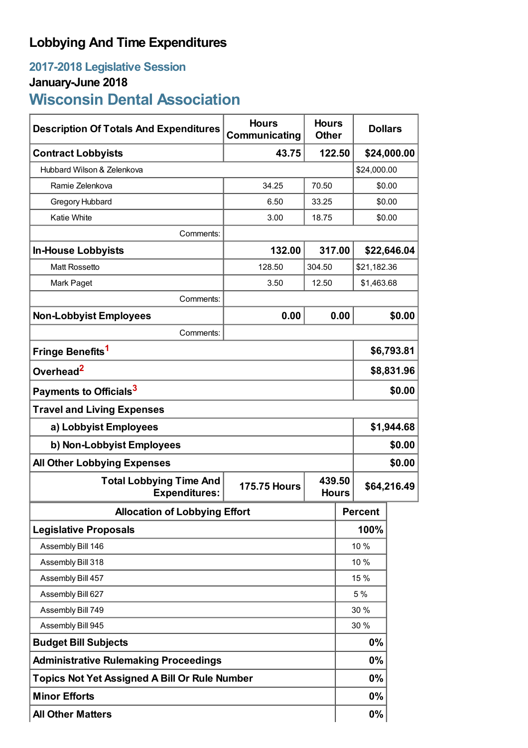# **Lobbying And Time Expenditures**

# **2017-2018 Legislative Session January-June 2018**

# **Wisconsin Dental Association**

| <b>Description Of Totals And Expenditures</b>          | <b>Hours</b><br>Communicating | <b>Hours</b><br><b>Other</b> |      | <b>Dollars</b> |            |  |
|--------------------------------------------------------|-------------------------------|------------------------------|------|----------------|------------|--|
| <b>Contract Lobbyists</b>                              | 43.75                         | 122.50                       |      | \$24,000.00    |            |  |
| Hubbard Wilson & Zelenkova                             |                               |                              |      | \$24,000.00    |            |  |
| Ramie Zelenkova                                        | 34.25                         | 70.50                        |      | \$0.00         |            |  |
| Gregory Hubbard                                        | 6.50                          | 33.25                        |      | \$0.00         |            |  |
| <b>Katie White</b>                                     | 3.00                          | 18.75                        |      | \$0.00         |            |  |
| Comments:                                              |                               |                              |      |                |            |  |
| <b>In-House Lobbyists</b>                              | 132.00                        | 317.00                       |      | \$22,646.04    |            |  |
| <b>Matt Rossetto</b>                                   | 128.50                        | 304.50                       |      | \$21,182.36    |            |  |
| Mark Paget                                             | 3.50                          | 12.50                        |      |                | \$1,463.68 |  |
| Comments:                                              |                               |                              |      |                |            |  |
| <b>Non-Lobbyist Employees</b>                          | 0.00                          |                              | 0.00 |                | \$0.00     |  |
| Comments:                                              |                               |                              |      |                |            |  |
| Fringe Benefits <sup>1</sup>                           |                               |                              |      | \$6,793.81     |            |  |
| Overhead <sup>2</sup>                                  |                               |                              |      | \$8,831.96     |            |  |
| Payments to Officials <sup>3</sup>                     |                               |                              |      | \$0.00         |            |  |
| <b>Travel and Living Expenses</b>                      |                               |                              |      |                |            |  |
| a) Lobbyist Employees                                  |                               |                              |      | \$1,944.68     |            |  |
| b) Non-Lobbyist Employees                              |                               |                              |      | \$0.00         |            |  |
| \$0.00<br><b>All Other Lobbying Expenses</b>           |                               |                              |      |                |            |  |
| <b>Total Lobbying Time And</b><br><b>Expenditures:</b> | <b>175.75 Hours</b>           | 439.50<br><b>Hours</b>       |      | \$64,216.49    |            |  |
| <b>Allocation of Lobbying Effort</b>                   |                               |                              |      | <b>Percent</b> |            |  |
| <b>Legislative Proposals</b>                           |                               |                              |      | 100%           |            |  |
| Assembly Bill 146                                      |                               |                              |      | 10 %           |            |  |
| Assembly Bill 318                                      |                               |                              |      | 10 %           |            |  |
| Assembly Bill 457                                      |                               |                              |      | 15 %           |            |  |
| Assembly Bill 627                                      |                               |                              |      | 5 %            |            |  |
| Assembly Bill 749                                      |                               |                              |      | 30 %           |            |  |
| Assembly Bill 945                                      |                               |                              |      | 30 %           |            |  |
| <b>Budget Bill Subjects</b>                            |                               |                              |      | 0%             |            |  |
| <b>Administrative Rulemaking Proceedings</b>           |                               |                              |      | $0\%$          |            |  |
| <b>Topics Not Yet Assigned A Bill Or Rule Number</b>   |                               |                              |      | 0%             |            |  |
| <b>Minor Efforts</b>                                   |                               |                              |      | 0%             |            |  |
| <b>All Other Matters</b>                               |                               |                              |      | 0%             |            |  |